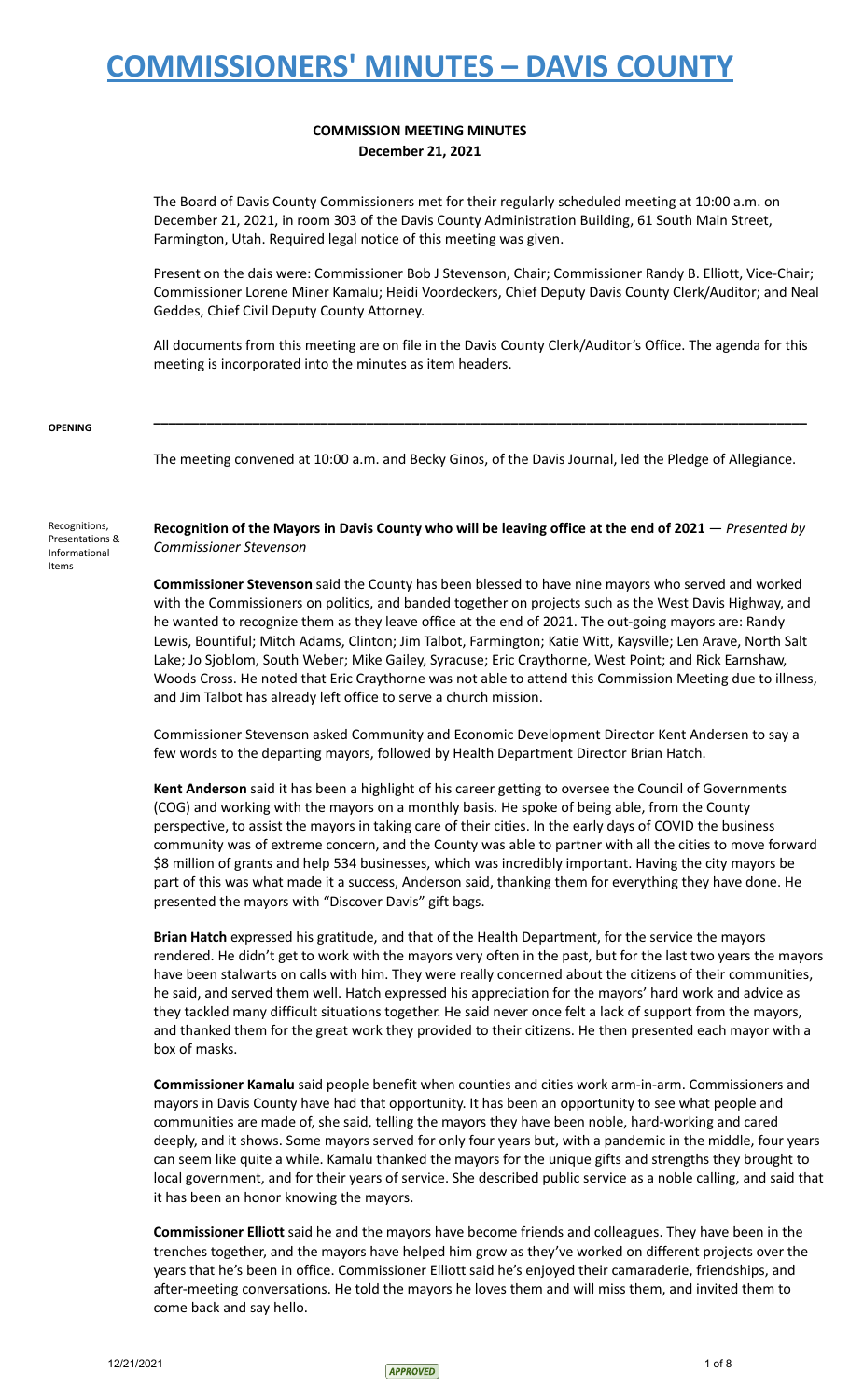### **COMMISSION MEETING MINUTES December 21, 2021**

The Board of Davis County Commissioners met for their regularly scheduled meeting at 10:00 a.m. on December 21, 2021, in room 303 of the Davis County Administration Building, 61 South Main Street, Farmington, Utah. Required legal notice of this meeting was given.

Present on the dais were: Commissioner Bob J Stevenson, Chair; Commissioner Randy B. Elliott, Vice-Chair; Commissioner Lorene Miner Kamalu; Heidi Voordeckers, Chief Deputy Davis County Clerk/Auditor; and Neal Geddes, Chief Civil Deputy County Attorney.

All documents from this meeting are on file in the Davis County Clerk/Auditor's Office. The agenda for this meeting is incorporated into the minutes as item headers.

**\_\_\_\_\_\_\_\_\_\_\_\_\_\_\_\_\_\_\_\_\_\_\_\_\_\_\_\_\_\_\_\_\_\_\_\_\_\_\_\_\_\_\_\_\_\_\_\_\_\_\_\_\_\_\_\_\_\_\_\_\_\_\_\_\_\_\_\_\_\_\_\_\_\_\_\_\_\_\_\_\_\_\_\_\_\_**

#### **OPENING**

The meeting convened at 10:00 a.m. and Becky Ginos, of the Davis Journal, led the Pledge of Allegiance.

Recognitions, Presentations & Informational Items

Recognition of the Mayors in Davis County who will be leaving office at the end of 2021 - Presented by *Commissioner Stevenson*

**Commissioner Stevenson** said the County has been blessed to have nine mayors who served and worked with the Commissioners on politics, and banded together on projects such as the West Davis Highway, and he wanted to recognize them as they leave office at the end of 2021. The out-going mayors are: Randy Lewis, Bountiful; Mitch Adams, Clinton; Jim Talbot, Farmington; Katie Witt, Kaysville; Len Arave, North Salt Lake; Jo Sjoblom, South Weber; Mike Gailey, Syracuse; Eric Craythorne, West Point; and Rick Earnshaw, Woods Cross. He noted that Eric Craythorne was not able to attend this Commission Meeting due to illness, and Jim Talbot has already left office to serve a church mission.

Commissioner Stevenson asked Community and Economic Development Director Kent Andersen to say a few words to the departing mayors, followed by Health Department Director Brian Hatch.

**Kent Anderson** said it has been a highlight of his career getting to oversee the Council of Governments (COG) and working with the mayors on a monthly basis. He spoke of being able, from the County perspective, to assist the mayors in taking care of their cities. In the early days of COVID the business community was of extreme concern, and the County was able to partner with all the cities to move forward \$8 million of grants and help 534 businesses, which was incredibly important. Having the city mayors be part of this was what made it a success, Anderson said, thanking them for everything they have done. He presented the mayors with "Discover Davis" gift bags.

**Brian Hatch** expressed his gratitude, and that of the Health Department, for the service the mayors rendered. He didn't get to work with the mayors very often in the past, but for the last two years the mayors have been stalwarts on calls with him. They were really concerned about the citizens of their communities, he said, and served them well. Hatch expressed his appreciation for the mayors' hard work and advice as they tackled many difficult situations together. He said never once felt a lack of support from the mayors, and thanked them for the great work they provided to their citizens. He then presented each mayor with a box of masks.

**Commissioner Kamalu** said people benefit when counties and cities work arm-in-arm. Commissioners and mayors in Davis County have had that opportunity. It has been an opportunity to see what people and communities are made of, she said, telling the mayors they have been noble, hard-working and cared deeply, and it shows. Some mayors served for only four years but, with a pandemic in the middle, four years can seem like quite a while. Kamalu thanked the mayors for the unique gifts and strengths they brought to local government, and for their years of service. She described public service as a noble calling, and said that it has been an honor knowing the mayors.

**Commissioner Elliott** said he and the mayors have become friends and colleagues. They have been in the trenches together, and the mayors have helped him grow as they've worked on different projects over the years that he's been in office. Commissioner Elliott said he's enjoyed their camaraderie, friendships, and after-meeting conversations. He told the mayors he loves them and will miss them, and invited them to come back and say hello.

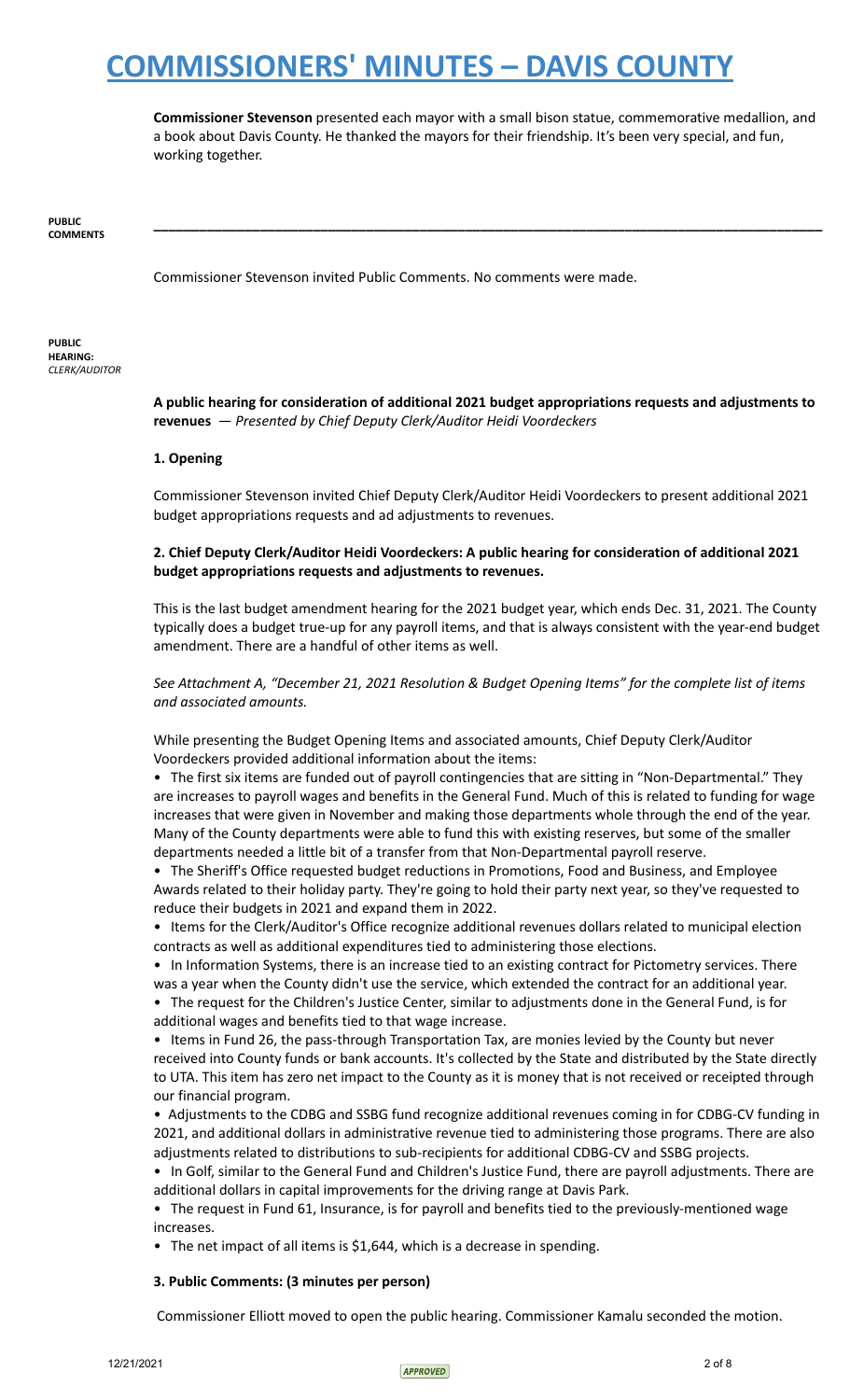**Commissioner Stevenson** presented each mayor with a small bison statue, commemorative medallion, and a book about Davis County. He thanked the mayors for their friendship. It's been very special, and fun, working together.

**\_\_\_\_\_\_\_\_\_\_\_\_\_\_\_\_\_\_\_\_\_\_\_\_\_\_\_\_\_\_\_\_\_\_\_\_\_\_\_\_\_\_\_\_\_\_\_\_\_\_\_\_\_\_\_\_\_\_\_\_\_\_\_\_\_\_\_\_\_\_\_\_\_\_\_\_\_\_\_\_\_\_\_\_\_\_\_\_**

**PUBLIC COMMENTS**

Commissioner Stevenson invited Public Comments. No comments were made.

**PUBLIC HEARING:** *CLERK/AUDITOR*

> **A public hearing for consideration of additional 2021 budget appropriations requests and adjustments to revenues** — *Presented by Chief Deputy Clerk/Auditor Heidi Voordeckers*

#### **1. Opening**

Commissioner Stevenson invited Chief Deputy Clerk/Auditor Heidi Voordeckers to present additional 2021 budget appropriations requests and ad adjustments to revenues.

#### **2. Chief Deputy Clerk/Auditor Heidi Voordeckers: A public hearing for consideration of additional 2021 budget appropriations requests and adjustments to revenues.**

This is the last budget amendment hearing for the 2021 budget year, which ends Dec. 31, 2021. The County typically does a budget true-up for any payroll items, and that is always consistent with the year-end budget amendment. There are a handful of other items as well.

*See Attachment A, "December 21, 2021 Resolution & Budget Opening Items" for the complete list of items and associated amounts.*

While presenting the Budget Opening Items and associated amounts, Chief Deputy Clerk/Auditor Voordeckers provided additional information about the items:

• The first six items are funded out of payroll contingencies that are sitting in "Non-Departmental." They are increases to payroll wages and benefits in the General Fund. Much of this is related to funding for wage increases that were given in November and making those departments whole through the end of the year. Many of the County departments were able to fund this with existing reserves, but some of the smaller departments needed a little bit of a transfer from that Non-Departmental payroll reserve.

• The Sheriff's Office requested budget reductions in Promotions, Food and Business, and Employee Awards related to their holiday party. They're going to hold their party next year, so they've requested to reduce their budgets in 2021 and expand them in 2022.

• Items for the Clerk/Auditor's Office recognize additional revenues dollars related to municipal election contracts as well as additional expenditures tied to administering those elections.

• In Information Systems, there is an increase tied to an existing contract for Pictometry services. There was a year when the County didn't use the service, which extended the contract for an additional year.

• The request for the Children's Justice Center, similar to adjustments done in the General Fund, is for additional wages and benefits tied to that wage increase.

• Items in Fund 26, the pass-through Transportation Tax, are monies levied by the County but never received into County funds or bank accounts. It's collected by the State and distributed by the State directly to UTA. This item has zero net impact to the County as it is money that is not received or receipted through our financial program.

• Adjustments to the CDBG and SSBG fund recognize additional revenues coming in for CDBG-CV funding in 2021, and additional dollars in administrative revenue tied to administering those programs. There are also adjustments related to distributions to sub-recipients for additional CDBG-CV and SSBG projects.

• In Golf, similar to the General Fund and Children's Justice Fund, there are payroll adjustments. There are additional dollars in capital improvements for the driving range at Davis Park.

• The request in Fund 61, Insurance, is for payroll and benefits tied to the previously-mentioned wage increases.

• The net impact of all items is \$1,644, which is a decrease in spending.

### **3. Public Comments: (3 minutes per person)**

Commissioner Elliott moved to open the public hearing. Commissioner Kamalu seconded the motion.

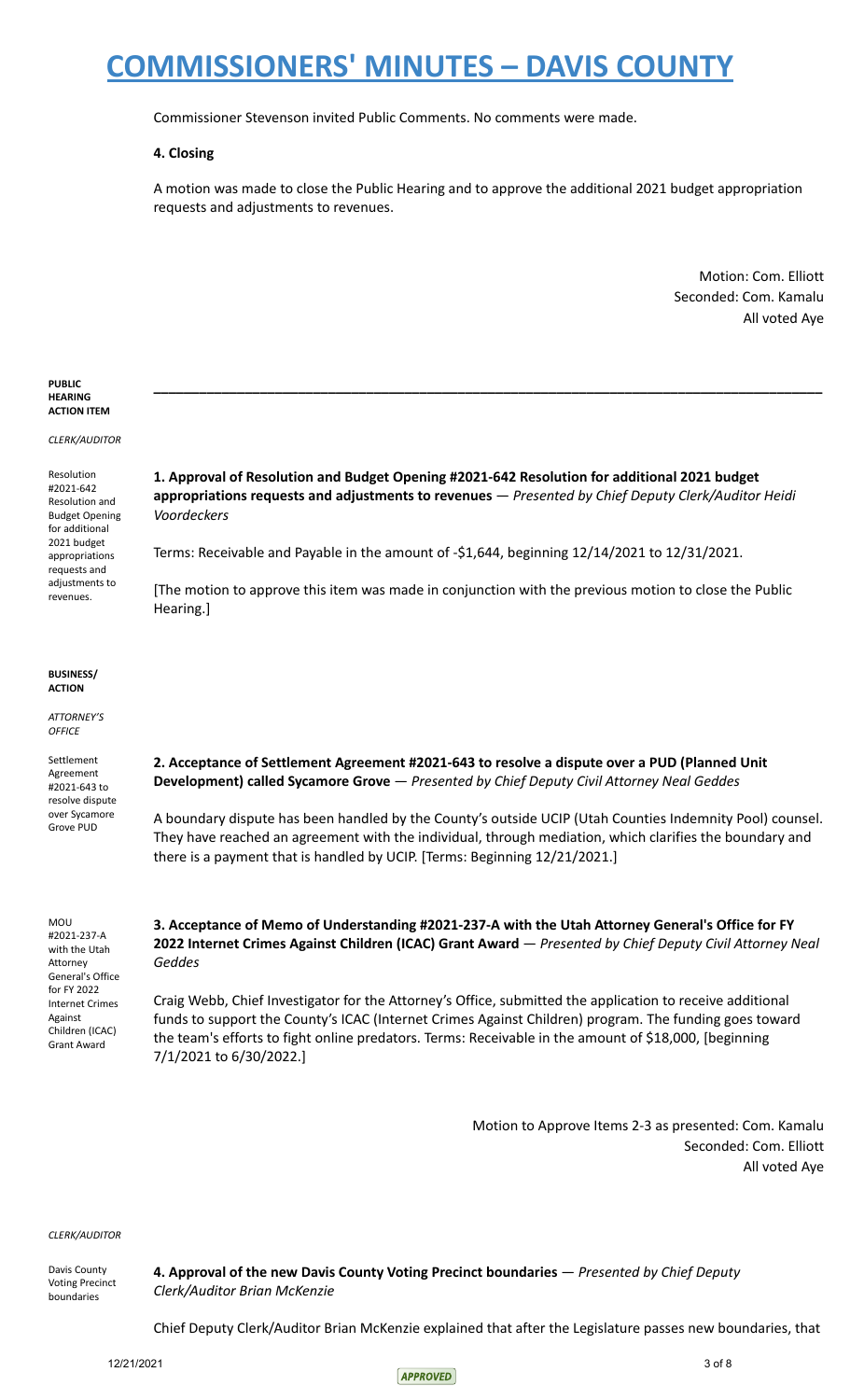Commissioner Stevenson invited Public Comments. No comments were made.

#### **4. Closing**

A motion was made to close the Public Hearing and to approve the additional 2021 budget appropriation requests and adjustments to revenues.

> Motion: Com. Elliott Seconded: Com. Kamalu All voted Aye

| <b>PUBLIC</b><br><b>HEARING</b><br><b>ACTION ITEM</b>                                                                                                            |                                                                                                                                                                                                                                                                                                                                                         |
|------------------------------------------------------------------------------------------------------------------------------------------------------------------|---------------------------------------------------------------------------------------------------------------------------------------------------------------------------------------------------------------------------------------------------------------------------------------------------------------------------------------------------------|
| CLERK/AUDITOR                                                                                                                                                    |                                                                                                                                                                                                                                                                                                                                                         |
| Resolution<br>#2021-642<br>Resolution and<br><b>Budget Opening</b><br>for additional                                                                             | 1. Approval of Resolution and Budget Opening #2021-642 Resolution for additional 2021 budget<br>appropriations requests and adjustments to revenues - Presented by Chief Deputy Clerk/Auditor Heidi<br>Voordeckers                                                                                                                                      |
| 2021 budget<br>appropriations<br>requests and                                                                                                                    | Terms: Receivable and Payable in the amount of -\$1,644, beginning 12/14/2021 to 12/31/2021.                                                                                                                                                                                                                                                            |
| adjustments to<br>revenues.                                                                                                                                      | [The motion to approve this item was made in conjunction with the previous motion to close the Public<br>Hearing.]                                                                                                                                                                                                                                      |
| <b>BUSINESS/</b><br><b>ACTION</b>                                                                                                                                |                                                                                                                                                                                                                                                                                                                                                         |
| ATTORNEY'S<br><b>OFFICE</b>                                                                                                                                      |                                                                                                                                                                                                                                                                                                                                                         |
| Settlement<br>Agreement<br>#2021-643 to<br>resolve dispute<br>over Sycamore<br>Grove PUD                                                                         | 2. Acceptance of Settlement Agreement #2021-643 to resolve a dispute over a PUD (Planned Unit<br>Development) called Sycamore Grove - Presented by Chief Deputy Civil Attorney Neal Geddes                                                                                                                                                              |
|                                                                                                                                                                  | A boundary dispute has been handled by the County's outside UCIP (Utah Counties Indemnity Pool) counsel.<br>They have reached an agreement with the individual, through mediation, which clarifies the boundary and<br>there is a payment that is handled by UCIP. [Terms: Beginning 12/21/2021.]                                                       |
| MOU<br>#2021-237-A<br>with the Utah<br>Attorney<br>General's Office<br>for FY 2022<br><b>Internet Crimes</b><br>Against<br>Children (ICAC)<br><b>Grant Award</b> | 3. Acceptance of Memo of Understanding #2021-237-A with the Utah Attorney General's Office for FY<br>2022 Internet Crimes Against Children (ICAC) Grant Award - Presented by Chief Deputy Civil Attorney Neal<br>Geddes                                                                                                                                 |
|                                                                                                                                                                  | Craig Webb, Chief Investigator for the Attorney's Office, submitted the application to receive additional<br>funds to support the County's ICAC (Internet Crimes Against Children) program. The funding goes toward<br>the team's efforts to fight online predators. Terms: Receivable in the amount of \$18,000, [beginning<br>7/1/2021 to 6/30/2022.] |
|                                                                                                                                                                  |                                                                                                                                                                                                                                                                                                                                                         |

Motion to Approve Items 2-3 as presented: Com. Kamalu Seconded: Com. Elliott All voted Aye

*CLERK/AUDITOR*

Davis County Voting Precinct boundaries

**4. Approval of the new Davis County Voting Precinct boundaries** — *Presented by Chief Deputy Clerk/Auditor Brian McKenzie*

Chief Deputy Clerk/Auditor Brian McKenzie explained that after the Legislature passes new boundaries, that

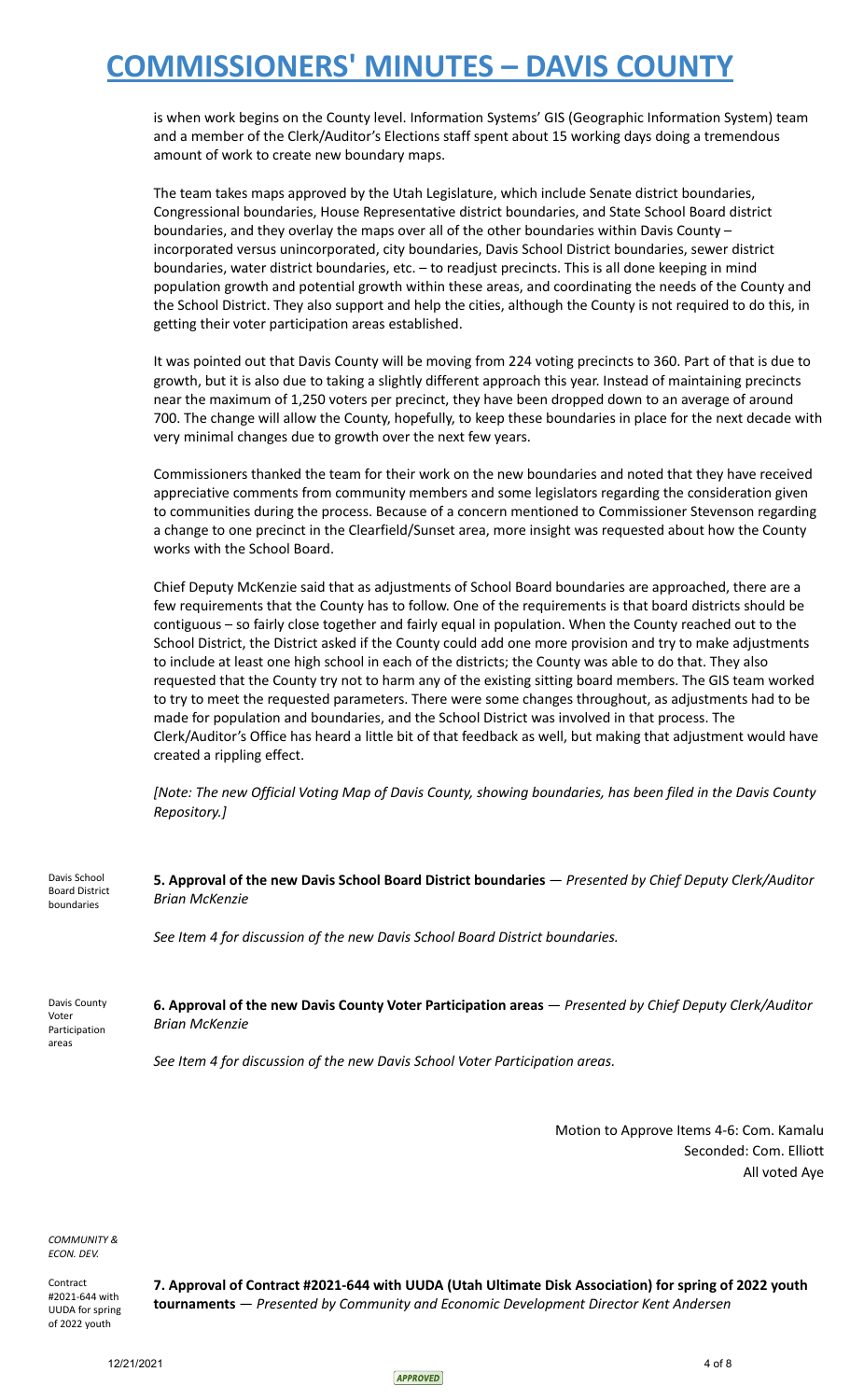is when work begins on the County level. Information Systems' GIS (Geographic Information System) team and a member of the Clerk/Auditor's Elections staff spent about 15 working days doing a tremendous amount of work to create new boundary maps.

The team takes maps approved by the Utah Legislature, which include Senate district boundaries, Congressional boundaries, House Representative district boundaries, and State School Board district boundaries, and they overlay the maps over all of the other boundaries within Davis County – incorporated versus unincorporated, city boundaries, Davis School District boundaries, sewer district boundaries, water district boundaries, etc. – to readjust precincts. This is all done keeping in mind population growth and potential growth within these areas, and coordinating the needs of the County and the School District. They also support and help the cities, although the County is not required to do this, in getting their voter participation areas established.

It was pointed out that Davis County will be moving from 224 voting precincts to 360. Part of that is due to growth, but it is also due to taking a slightly different approach this year. Instead of maintaining precincts near the maximum of 1,250 voters per precinct, they have been dropped down to an average of around 700. The change will allow the County, hopefully, to keep these boundaries in place for the next decade with very minimal changes due to growth over the next few years.

Commissioners thanked the team for their work on the new boundaries and noted that they have received appreciative comments from community members and some legislators regarding the consideration given to communities during the process. Because of a concern mentioned to Commissioner Stevenson regarding a change to one precinct in the Clearfield/Sunset area, more insight was requested about how the County works with the School Board.

Chief Deputy McKenzie said that as adjustments of School Board boundaries are approached, there are a few requirements that the County has to follow. One of the requirements is that board districts should be contiguous – so fairly close together and fairly equal in population. When the County reached out to the School District, the District asked if the County could add one more provision and try to make adjustments to include at least one high school in each of the districts; the County was able to do that. They also requested that the County try not to harm any of the existing sitting board members. The GIS team worked to try to meet the requested parameters. There were some changes throughout, as adjustments had to be made for population and boundaries, and the School District was involved in that process. The Clerk/Auditor's Office has heard a little bit of that feedback as well, but making that adjustment would have created a rippling effect.

[Note: The new Official Voting Map of Davis County, showing boundaries, has been filed in the Davis County *Repository.]*

Davis School Board District boundaries **5. Approval of the new Davis School Board District boundaries** — *Presented by Chief Deputy Clerk/Auditor Brian McKenzie*

*See Item 4 for discussion of the new Davis School Board District boundaries.*

Davis County Voter Participation areas **6. Approval of the new Davis County Voter Participation areas** — *Presented by Chief Deputy Clerk/Auditor Brian McKenzie*

*See Item 4 for discussion of the new Davis School Voter Participation areas.*

Motion to Approve Items 4-6: Com. Kamalu Seconded: Com. Elliott All voted Aye

*COMMUNITY & ECON. DEV.*

Contract #2021-644 with UUDA for spring of 2022 youth

**7. Approval of Contract #2021-644 with UUDA (Utah Ultimate Disk Association) for spring of 2022 youth tournaments** — *Presented by Community and Economic Development Director Kent Andersen*

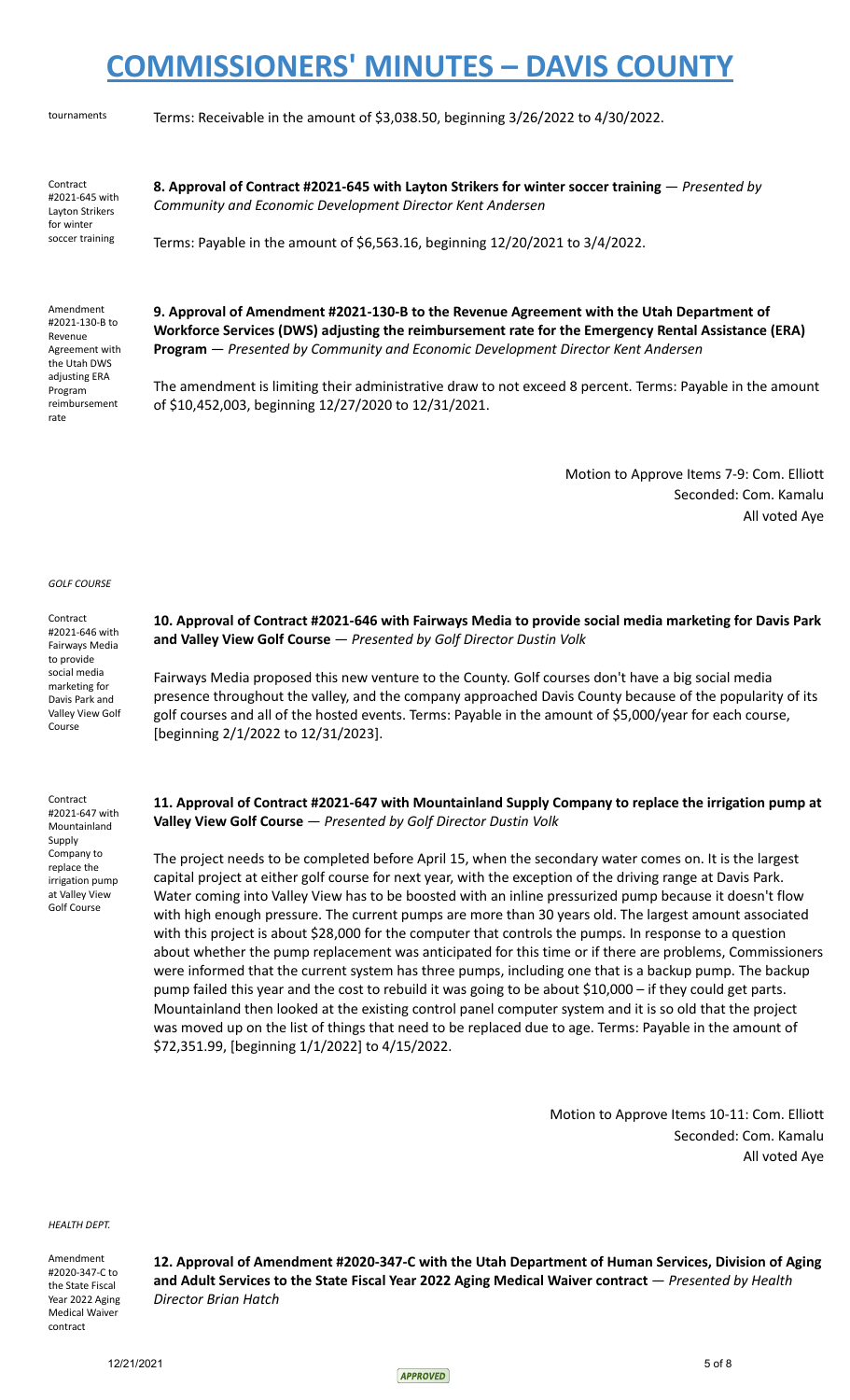tournaments Terms: Receivable in the amount of \$3,038.50, beginning 3/26/2022 to 4/30/2022.

Contract #2021-645 with Layton Strikers for winter soccer training

**8. Approval of Contract #2021-645 with Layton Strikers for winter soccer training** — *Presented by Community and Economic Development Director Kent Andersen*

Terms: Payable in the amount of \$6,563.16, beginning 12/20/2021 to 3/4/2022.

Amendment #2021-130-B to Revenue Agreement with the Utah DWS adjusting ERA Program reimbursement rate

**9. Approval of Amendment #2021-130-B to the Revenue Agreement with the Utah Department of Workforce Services (DWS) adjusting the reimbursement rate for the Emergency Rental Assistance (ERA) Program** — *Presented by Community and Economic Development Director Kent Andersen*

The amendment is limiting their administrative draw to not exceed 8 percent. Terms: Payable in the amount of \$10,452,003, beginning 12/27/2020 to 12/31/2021.

> Motion to Approve Items 7-9: Com. Elliott Seconded: Com. Kamalu All voted Aye

#### *GOLF COURSE*

**Contract** #2021-646 with Fairways Media to provide social media marketing for Davis Park and Valley View Golf Course

Contract #2021-647 with Mountainland Supply Company to replace the irrigation pump at Valley View Golf Course

**10. Approval of Contract #2021-646 with Fairways Media to provide social media marketing for Davis Park and Valley View Golf Course** — *Presented by Golf Director Dustin Volk*

Fairways Media proposed this new venture to the County. Golf courses don't have a big social media presence throughout the valley, and the company approached Davis County because of the popularity of its golf courses and all of the hosted events. Terms: Payable in the amount of \$5,000/year for each course, [beginning 2/1/2022 to 12/31/2023].

**11. Approval of Contract #2021-647 with Mountainland Supply Company to replace the irrigation pump at Valley View Golf Course** — *Presented by Golf Director Dustin Volk*

The project needs to be completed before April 15, when the secondary water comes on. It is the largest capital project at either golf course for next year, with the exception of the driving range at Davis Park. Water coming into Valley View has to be boosted with an inline pressurized pump because it doesn't flow with high enough pressure. The current pumps are more than 30 years old. The largest amount associated with this project is about \$28,000 for the computer that controls the pumps. In response to a question about whether the pump replacement was anticipated for this time or if there are problems, Commissioners were informed that the current system has three pumps, including one that is a backup pump. The backup pump failed this year and the cost to rebuild it was going to be about \$10,000 – if they could get parts. Mountainland then looked at the existing control panel computer system and it is so old that the project was moved up on the list of things that need to be replaced due to age. Terms: Payable in the amount of \$72,351.99, [beginning 1/1/2022] to 4/15/2022.

> Motion to Approve Items 10-11: Com. Elliott Seconded: Com. Kamalu All voted Aye

*HEALTH DEPT.*

Amendment #2020-347-C to the State Fiscal Year 2022 Aging Medical Waiver contract

**12. Approval of Amendment #2020-347-C with the Utah Department of Human Services, Division of Aging and Adult Services to the State Fiscal Year 2022 Aging Medical Waiver contract** — *Presented by Health Director Brian Hatch*

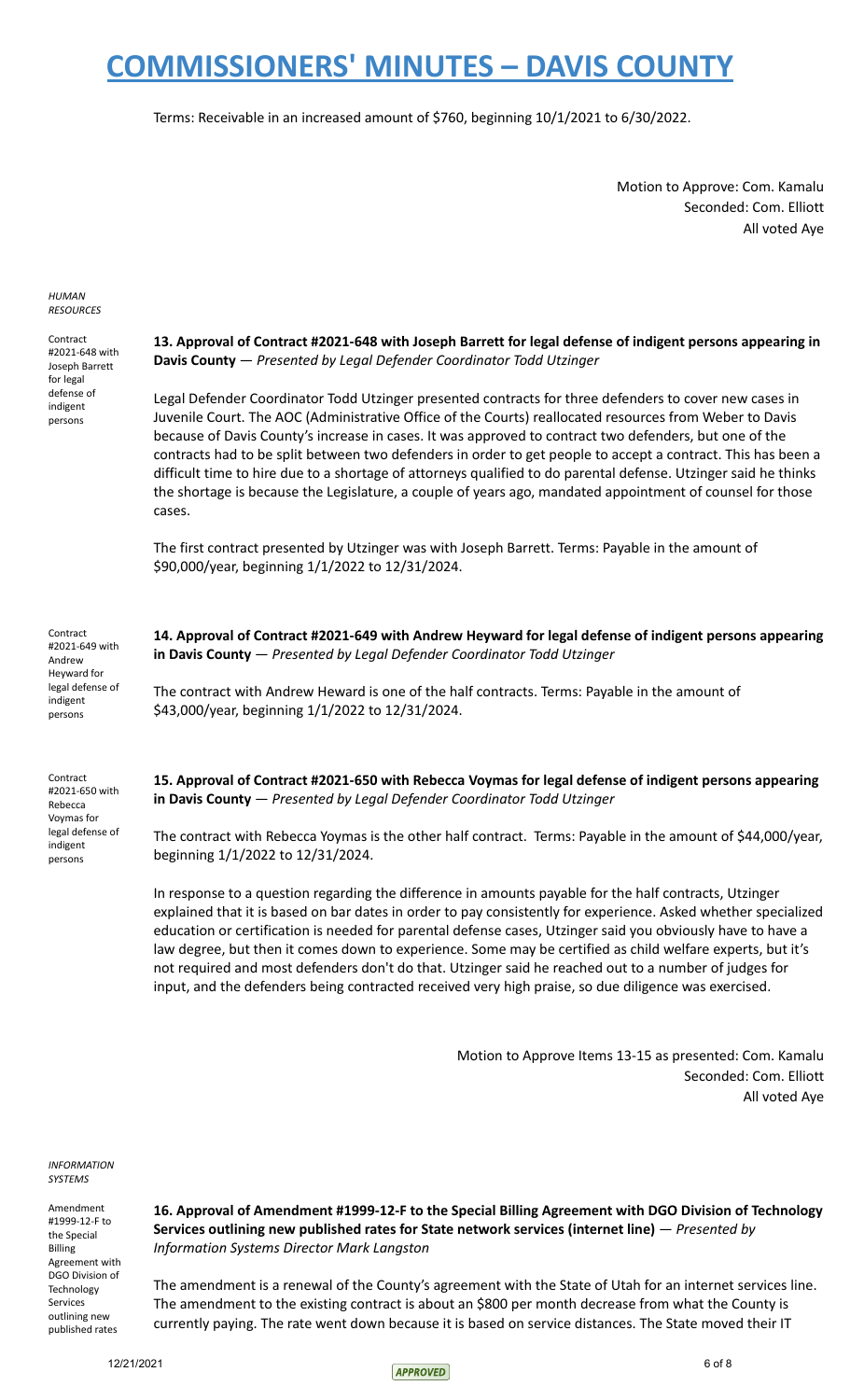Terms: Receivable in an increased amount of \$760, beginning 10/1/2021 to 6/30/2022.

Motion to Approve: Com. Kamalu Seconded: Com. Elliott All voted Aye

*HUMAN RESOURCES*

Contract #2021-648 with Joseph Barrett for legal defense of indigent persons

**13. Approval of Contract #2021-648 with Joseph Barrett for legal defense of indigent persons appearing in Davis County** — *Presented by Legal Defender Coordinator Todd Utzinger*

Legal Defender Coordinator Todd Utzinger presented contracts for three defenders to cover new cases in Juvenile Court. The AOC (Administrative Office of the Courts) reallocated resources from Weber to Davis because of Davis County's increase in cases. It was approved to contract two defenders, but one of the contracts had to be split between two defenders in order to get people to accept a contract. This has been a difficult time to hire due to a shortage of attorneys qualified to do parental defense. Utzinger said he thinks the shortage is because the Legislature, a couple of years ago, mandated appointment of counsel for those cases.

The first contract presented by Utzinger was with Joseph Barrett. Terms: Payable in the amount of \$90,000/year, beginning 1/1/2022 to 12/31/2024.

**Contract** #2021-649 with Andrew Heyward for legal defense of indigent persons

Contract #2021-650 with Rebecca Voymas for legal defense of indigent persons

**14. Approval of Contract #2021-649 with Andrew Heyward for legal defense of indigent persons appearing in Davis County** — *Presented by Legal Defender Coordinator Todd Utzinger*

The contract with Andrew Heward is one of the half contracts. Terms: Payable in the amount of \$43,000/year, beginning 1/1/2022 to 12/31/2024.

**15. Approval of Contract #2021-650 with Rebecca Voymas for legal defense of indigent persons appearing in Davis County** — *Presented by Legal Defender Coordinator Todd Utzinger*

The contract with Rebecca Yoymas is the other half contract. Terms: Payable in the amount of \$44,000/year, beginning 1/1/2022 to 12/31/2024.

In response to a question regarding the difference in amounts payable for the half contracts, Utzinger explained that it is based on bar dates in order to pay consistently for experience. Asked whether specialized education or certification is needed for parental defense cases, Utzinger said you obviously have to have a law degree, but then it comes down to experience. Some may be certified as child welfare experts, but it's not required and most defenders don't do that. Utzinger said he reached out to a number of judges for input, and the defenders being contracted received very high praise, so due diligence was exercised.

> Motion to Approve Items 13-15 as presented: Com. Kamalu Seconded: Com. Elliott All voted Aye

*INFORMATION SYSTEMS*

Amendment #1999-12-F to the Special Billing Agreement with DGO Division of **Technology** Services outlining new published rates

**16. Approval of Amendment #1999-12-F to the Special Billing Agreement with DGO Division of Technology Services outlining new published rates for State network services (internet line)** — *Presented by Information Systems Director Mark Langston*

The amendment is a renewal of the County's agreement with the State of Utah for an internet services line. The amendment to the existing contract is about an \$800 per month decrease from what the County is currently paying. The rate went down because it is based on service distances. The State moved their IT

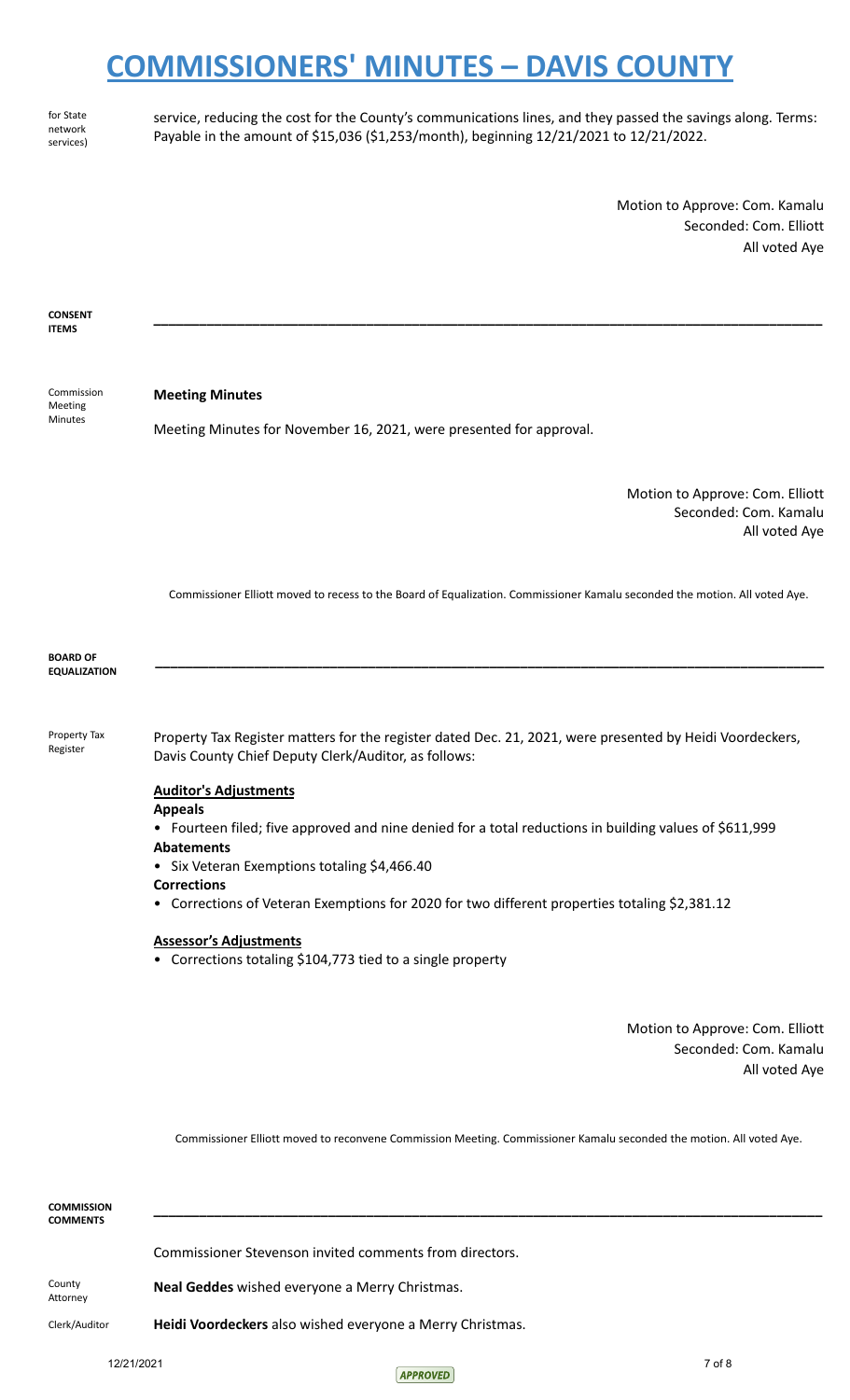for State network services) service, reducing the cost for the County's communications lines, and they passed the savings along. Terms: Payable in the amount of \$15,036 (\$1,253/month), beginning 12/21/2021 to 12/21/2022.

**\_\_\_\_\_\_\_\_\_\_\_\_\_\_\_\_\_\_\_\_\_\_\_\_\_\_\_\_\_\_\_\_\_\_\_\_\_\_\_\_\_\_\_\_\_\_\_\_\_\_\_\_\_\_\_\_\_\_\_\_\_\_\_\_\_\_\_\_\_\_\_\_\_\_\_\_\_\_\_\_\_\_\_\_\_\_\_\_**

Motion to Approve: Com. Kamalu Seconded: Com. Elliott All voted Aye

**CONSENT ITEMS**

Commission Meeting Minutes

#### **Meeting Minutes**

Meeting Minutes for November 16, 2021, were presented for approval.

Motion to Approve: Com. Elliott Seconded: Com. Kamalu All voted Aye

Commissioner Elliott moved to recess to the Board of Equalization. Commissioner Kamalu seconded the motion. All voted Aye.

**\_\_\_\_\_\_\_\_\_\_\_\_\_\_\_\_\_\_\_\_\_\_\_\_\_\_\_\_\_\_\_\_\_\_\_\_\_\_\_\_\_\_\_\_\_\_\_\_\_\_\_\_\_\_\_\_\_\_\_\_\_\_\_\_\_\_\_\_\_\_\_\_\_\_\_\_\_\_\_\_\_\_\_\_\_\_\_\_**

**BOARD OF EQUALIZATION**

Property Tax Register

Property Tax Register matters for the register dated Dec. 21, 2021, were presented by Heidi Voordeckers, Davis County Chief Deputy Clerk/Auditor, as follows:

#### **Auditor's Adjustments**

**Appeals**

• Fourteen filed; five approved and nine denied for a total reductions in building values of \$611,999 **Abatements**

- Six Veteran Exemptions totaling \$4,466.40
- **Corrections**

• Corrections of Veteran Exemptions for 2020 for two different properties totaling \$2,381.12

#### **Assessor's Adjustments**

• Corrections totaling \$104,773 tied to a single property

Motion to Approve: Com. Elliott Seconded: Com. Kamalu All voted Aye

Commissioner Elliott moved to reconvene Commission Meeting. Commissioner Kamalu seconded the motion. All voted Aye.

| <b>COMMISSION</b><br><b>COMMENTS</b> |                                                           |
|--------------------------------------|-----------------------------------------------------------|
|                                      | Commissioner Stevenson invited comments from directors.   |
| County<br>Attorney                   | Neal Geddes wished everyone a Merry Christmas.            |
| Clerk/Auditor                        | Heidi Voordeckers also wished everyone a Merry Christmas. |